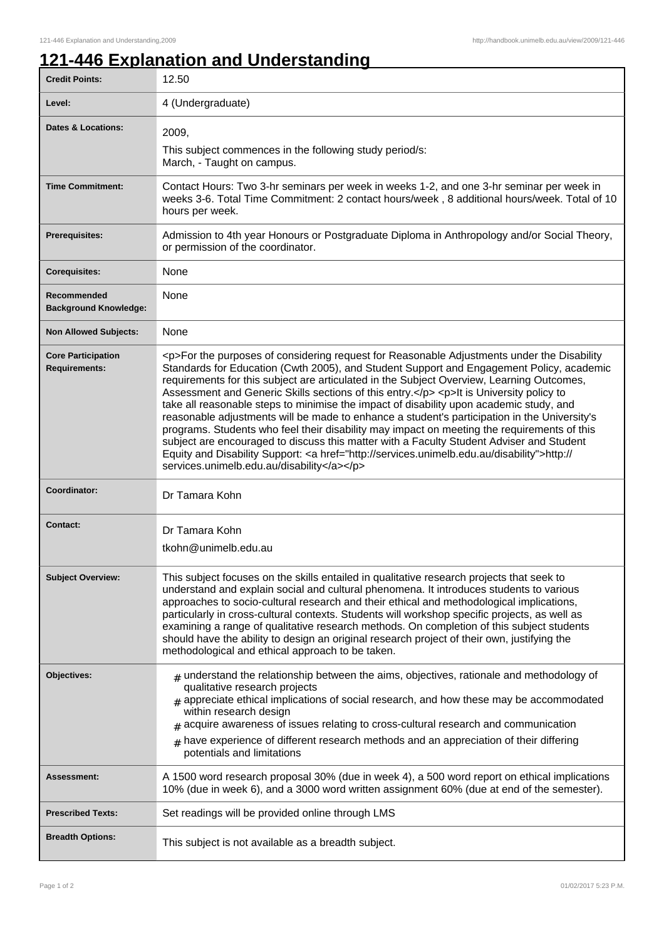## **121-446 Explanation and Understanding**

| <b>Credit Points:</b>                             | 12.50                                                                                                                                                                                                                                                                                                                                                                                                                                                                                                                                                                                                                                                                                                                                                                                                                                                                                                                        |
|---------------------------------------------------|------------------------------------------------------------------------------------------------------------------------------------------------------------------------------------------------------------------------------------------------------------------------------------------------------------------------------------------------------------------------------------------------------------------------------------------------------------------------------------------------------------------------------------------------------------------------------------------------------------------------------------------------------------------------------------------------------------------------------------------------------------------------------------------------------------------------------------------------------------------------------------------------------------------------------|
| Level:                                            | 4 (Undergraduate)                                                                                                                                                                                                                                                                                                                                                                                                                                                                                                                                                                                                                                                                                                                                                                                                                                                                                                            |
| <b>Dates &amp; Locations:</b>                     | 2009,<br>This subject commences in the following study period/s:<br>March, - Taught on campus.                                                                                                                                                                                                                                                                                                                                                                                                                                                                                                                                                                                                                                                                                                                                                                                                                               |
| <b>Time Commitment:</b>                           | Contact Hours: Two 3-hr seminars per week in weeks 1-2, and one 3-hr seminar per week in<br>weeks 3-6. Total Time Commitment: 2 contact hours/week, 8 additional hours/week. Total of 10<br>hours per week.                                                                                                                                                                                                                                                                                                                                                                                                                                                                                                                                                                                                                                                                                                                  |
| <b>Prerequisites:</b>                             | Admission to 4th year Honours or Postgraduate Diploma in Anthropology and/or Social Theory,<br>or permission of the coordinator.                                                                                                                                                                                                                                                                                                                                                                                                                                                                                                                                                                                                                                                                                                                                                                                             |
| <b>Corequisites:</b>                              | None                                                                                                                                                                                                                                                                                                                                                                                                                                                                                                                                                                                                                                                                                                                                                                                                                                                                                                                         |
| Recommended<br><b>Background Knowledge:</b>       | None                                                                                                                                                                                                                                                                                                                                                                                                                                                                                                                                                                                                                                                                                                                                                                                                                                                                                                                         |
| <b>Non Allowed Subjects:</b>                      | None                                                                                                                                                                                                                                                                                                                                                                                                                                                                                                                                                                                                                                                                                                                                                                                                                                                                                                                         |
| <b>Core Participation</b><br><b>Requirements:</b> | <p>For the purposes of considering request for Reasonable Adjustments under the Disability<br/>Standards for Education (Cwth 2005), and Student Support and Engagement Policy, academic<br/>requirements for this subject are articulated in the Subject Overview, Learning Outcomes,<br/>Assessment and Generic Skills sections of this entry.</p> <p>It is University policy to<br/>take all reasonable steps to minimise the impact of disability upon academic study, and<br/>reasonable adjustments will be made to enhance a student's participation in the University's<br/>programs. Students who feel their disability may impact on meeting the requirements of this<br/>subject are encouraged to discuss this matter with a Faculty Student Adviser and Student<br/>Equity and Disability Support: &lt; a href="http://services.unimelb.edu.au/disability"&gt;http://<br/>services.unimelb.edu.au/disability</p> |
| Coordinator:                                      | Dr Tamara Kohn                                                                                                                                                                                                                                                                                                                                                                                                                                                                                                                                                                                                                                                                                                                                                                                                                                                                                                               |
| Contact:                                          | Dr Tamara Kohn<br>tkohn@unimelb.edu.au                                                                                                                                                                                                                                                                                                                                                                                                                                                                                                                                                                                                                                                                                                                                                                                                                                                                                       |
| <b>Subject Overview:</b>                          | This subject focuses on the skills entailed in qualitative research projects that seek to<br>understand and explain social and cultural phenomena. It introduces students to various<br>approaches to socio-cultural research and their ethical and methodological implications,<br>particularly in cross-cultural contexts. Students will workshop specific projects, as well as<br>examining a range of qualitative research methods. On completion of this subject students<br>should have the ability to design an original research project of their own, justifying the<br>methodological and ethical approach to be taken.                                                                                                                                                                                                                                                                                            |
| Objectives:                                       | $#$ understand the relationship between the aims, objectives, rationale and methodology of<br>qualitative research projects<br>$_{\text{\#}}$ appreciate ethical implications of social research, and how these may be accommodated<br>within research design<br>acquire awareness of issues relating to cross-cultural research and communication<br>#<br>$_{\text{\#}}$ have experience of different research methods and an appreciation of their differing<br>potentials and limitations                                                                                                                                                                                                                                                                                                                                                                                                                                 |
| Assessment:                                       | A 1500 word research proposal 30% (due in week 4), a 500 word report on ethical implications<br>10% (due in week 6), and a 3000 word written assignment 60% (due at end of the semester).                                                                                                                                                                                                                                                                                                                                                                                                                                                                                                                                                                                                                                                                                                                                    |
| <b>Prescribed Texts:</b>                          | Set readings will be provided online through LMS                                                                                                                                                                                                                                                                                                                                                                                                                                                                                                                                                                                                                                                                                                                                                                                                                                                                             |
| <b>Breadth Options:</b>                           | This subject is not available as a breadth subject.                                                                                                                                                                                                                                                                                                                                                                                                                                                                                                                                                                                                                                                                                                                                                                                                                                                                          |